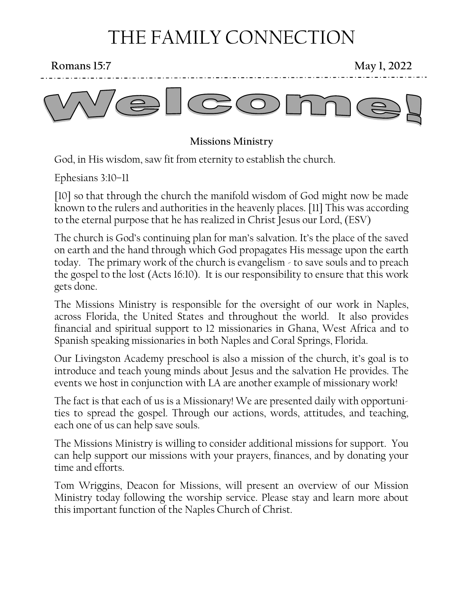# THE FAMILY CONNECTION

**Romans 15:7** May 1, 2022



**Missions Ministry**

God, in His wisdom, saw fit from eternity to establish the church.

Ephesians 3:10–11

[10] so that through the church the manifold wisdom of God might now be made known to the rulers and authorities in the heavenly places. [11] This was according to the eternal purpose that he has realized in Christ Jesus our Lord, (ESV)

The church is God's continuing plan for man's salvation. It's the place of the saved on earth and the hand through which God propagates His message upon the earth today. The primary work of the church is evangelism - to save souls and to preach the gospel to the lost (Acts 16:10). It is our responsibility to ensure that this work gets done.

The Missions Ministry is responsible for the oversight of our work in Naples, across Florida, the United States and throughout the world. It also provides financial and spiritual support to 12 missionaries in Ghana, West Africa and to Spanish speaking missionaries in both Naples and Coral Springs, Florida.

Our Livingston Academy preschool is also a mission of the church, it's goal is to introduce and teach young minds about Jesus and the salvation He provides. The events we host in conjunction with LA are another example of missionary work!

The fact is that each of us is a Missionary! We are presented daily with opportunities to spread the gospel. Through our actions, words, attitudes, and teaching, each one of us can help save souls.

The Missions Ministry is willing to consider additional missions for support. You can help support our missions with your prayers, finances, and by donating your time and efforts.

Tom Wriggins, Deacon for Missions, will present an overview of our Mission Ministry today following the worship service. Please stay and learn more about this important function of the Naples Church of Christ.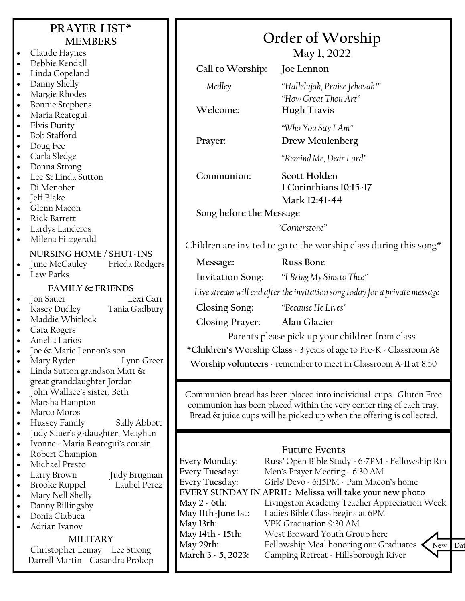## **PRAYER LIST\* MEMBERS**

- Claude Haynes • Debbie Kendall
- Linda Copeland
- Danny Shelly
- Margie Rhodes
- Bonnie Stephens
- Maria Reategui
- Elvis Durity
- Bob Stafford
- Doug Fee
- Carla Sledge
- Donna Strong
- Lee & Linda Sutton
- Di Menoher
- Jeff Blake
- Glenn Macon
- Rick Barrett
- Lardys Landeros
- Milena Fitzgerald

### **NURSING HOME / SHUT-INS**

- June McCauley Frieda Rodgers
- Lew Parks

### **FAMILY & FRIENDS**

• Jon Sauer Lexi Carr

- Kasey Dudley Tania Gadbury
- Maddie Whitlock
- Cara Rogers
- Amelia Larios
- Joe & Marie Lennon's son
- Mary Ryder Lynn Greer
- Linda Sutton grandson Matt & great granddaughter Jordan
- John Wallace's sister, Beth
- Marsha Hampton
- Marco Moros
- Hussey Family Sally Abbott
- Judy Sauer's g-daughter, Meaghan
- Ivonne Maria Reategui's cousin
- Robert Champion
- Michael Presto
- - Larry Brown Judy Brugman
	- **Brooke Ruppel**
- Mary Nell Shelly
- Danny Billingsby
- Donia Ciabuca

## • Adrian Ivanov

#### **MILITARY**

Christopher Lemay Lee Strong Darrell Martin Casandra Prokop

| Order of Worship |  |  |  |
|------------------|--|--|--|
|                  |  |  |  |

**May 1, 2022**

**Call to Worship: Joe Lennon** *Medley "Hallelujah, Praise Jehovah!" "How Great Thou Art"* **Welcome: Hugh Travis**

*"Who You Say I Am"* **Prayer: Drew Meulenberg**

*"Remind Me, Dear Lord"*

**Communion: Scott Holden**

**1 Corinthians 10:15-17**

**Mark 12:41-44**

**Song before the Message**

*"Cornerstone"*

Children are invited to go to the worship class during this song $*$ 

**Message: Russ Bone Invitation Song:** *"I Bring My Sins to Thee" Live stream will end after the invitation song today for a private message*

**Closing Song:** *"Because He Lives"*

**Closing Prayer: Alan Glazier**

Parents please pick up your children from class

**\*Children's Worship Class** - 3 years of age to Pre-K - Classroom A8

**Worship volunteers** - remember to meet in Classroom A-11 at 8:50

Communion bread has been placed into individual cups. Gluten Free communion has been placed within the very center ring of each tray. Bread & juice cups will be picked up when the offering is collected.

### **Future Events**

**Every Monday:** Russ' Open Bible Study - 6-7PM - Fellowship Rm **Every Tuesday:** Men's Prayer Meeting - 6:30 AM **Every Tuesday:** Girls' Devo - 6:15PM - Pam Macon's home **EVERY SUNDAY IN APRIL: Melissa will take your new photo May 2 - 6th:** Livingston Academy Teacher Appreciation Week **May 11th-June 1st:** Ladies Bible Class begins at 6PM **May 13th:** VPK Graduation 9:30 AM **May 14th - 15th:** West Broward Youth Group here May 29th: Fellowship Meal honoring our Graduates<br>March 3 - 5, 2023: Camping Retreat - Hillsborough River **March 3 - 5, 2023:** Camping Retreat - Hillsborough River New Dat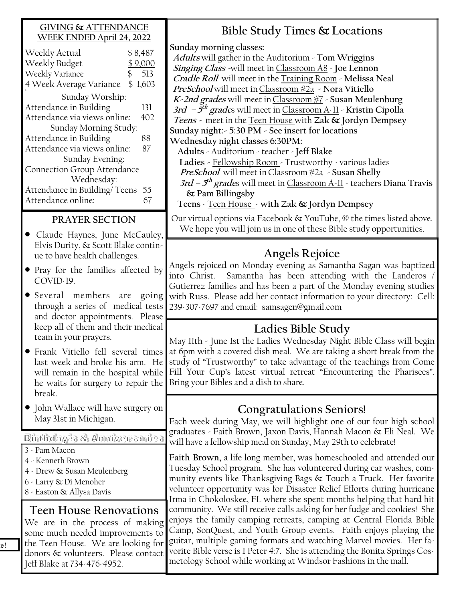#### **GIVING & ATTENDANCE WEEK ENDED April 24, 2022**

| Weekly Actual                | \$8,487 |  |  |  |  |
|------------------------------|---------|--|--|--|--|
| Weekly Budget                | \$9,000 |  |  |  |  |
| Weekly Variance<br>\$        | 513     |  |  |  |  |
| 4 Week Average Variance      | \$1,603 |  |  |  |  |
| Sunday Worship:              |         |  |  |  |  |
| Attendance in Building       | 131     |  |  |  |  |
| Attendance via views online: | 402     |  |  |  |  |
| Sunday Morning Study:        |         |  |  |  |  |
| Attendance in Building       | 88      |  |  |  |  |
| Attendance via views online: | 87      |  |  |  |  |
| Sunday Evening:              |         |  |  |  |  |
| Connection Group Attendance  |         |  |  |  |  |
| Wednesday:                   |         |  |  |  |  |
| Attendance in Building/Teens | 55      |  |  |  |  |
| Attendance online:           |         |  |  |  |  |
|                              |         |  |  |  |  |

#### **PRAYER SECTION**

- Claude Haynes, June McCauley, Elvis Durity, & Scott Blake continue to have health challenges.
- Pray for the families affected by COVID-19.
- Several members are going through a series of medical tests and doctor appointments. Please keep all of them and their medical team in your prayers.
- Frank Vitiello fell several times last week and broke his arm. He will remain in the hospital while he waits for surgery to repair the break.
- John Wallace will have surgery on May 31st in Michigan.

Birthday's & Anniversaries

- 3 Pam Macon
- 4 Kenneth Brown
- 4 Drew & Susan Meulenberg
- 6 Larry & Di Menoher
- 8 Easton & Allysa Davis

### **Teen House Renovations**

We are in the process of making some much needed improvements to the Teen House. We are looking for donors & volunteers. Please contact Jeff Blake at 734-476-4952.

# **Bible Study Times & Locations**

**Sunday morning classes:**

**Adults** will gather in the Auditorium - **Tom Wriggins Singing Class -**will meet in Classroom A8 - **Joe Lennon Cradle Roll** will meet in the Training Room - **Melissa Neal PreSchool** will meet inClassroom #2a - **Nora Vitiello K-2nd grades** will meet inClassroom #7 - **Susan Meulenburg 3rd – 5 th grade**s will meet in Classroom A-11 - **Kristin Cipolla Teens -** meet in the Teen House with **Zak & Jordyn Dempsey Sunday night:- 5:30 PM - See insert for locations Wednesday night classes 6:30PM:**

 **Adults** - Auditorium - teacher - **Jeff Blake Ladies -** Fellowship Room - Trustworthy - various ladies **PreSchool** will meet inClassroom #2a - **Susan Shelly**

**3rd – 5 th grade**s will meet in Classroom A-11 - teachers **Diana Travis & Pam Billingsby** 

**Teens** - Teen House - **with Zak & Jordyn Dempsey**

Our virtual options via Facebook & YouTube, @ the times listed above. We hope you will join us in one of these Bible study opportunities.

# **Angels Rejoice**

Angels rejoiced on Monday evening as Samantha Sagan was baptized into Christ. Samantha has been attending with the Landeros Gutierrez families and has been a part of the Monday evening studies with Russ. Please add her contact information to your directory: Cell: 239-307-7697 and email: samsagen@gmail.com

# **Ladies Bible Study**

May 11th - June 1st the Ladies Wednesday Night Bible Class will begin at 6pm with a covered dish meal. We are taking a short break from the study of "Trustworthy" to take advantage of the teachings from Come Fill Your Cup's latest virtual retreat "Encountering the Pharisees". Bring your Bibles and a dish to share.

### **Congratulations Seniors!**

Each week during May, we will highlight one of our four high school graduates - Faith Brown, Jaxon Davis, Hannah Macon & Eli Neal. We will have a fellowship meal on Sunday, May 29th to celebrate!

**Faith Brown,** a life long member, was homeschooled and attended our Tuesday School program. She has volunteered during car washes, community events like Thanksgiving Bags & Touch a Truck. Her favorite volunteer opportunity was for Disaster Relief Efforts during hurricane Irma in Chokoloskee, FL where she spent months helping that hard hit community. We still receive calls asking for her fudge and cookies! She enjoys the family camping retreats, camping at Central Florida Bible Camp, SonQuest, and Youth Group events. Faith enjoys playing the guitar, multiple gaming formats and watching Marvel movies. Her favorite Bible verse is 1 Peter 4:7. She is attending the Bonita Springs Cosmetology School while working at Windsor Fashions in the mall.

e!